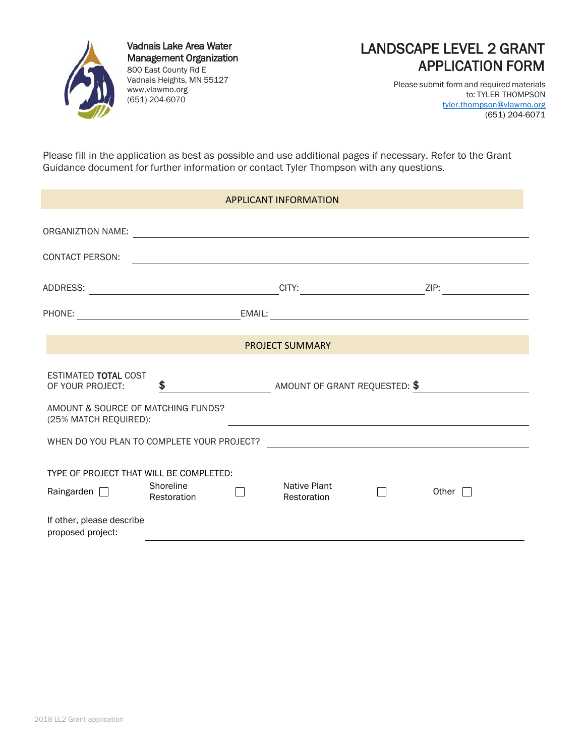

Vadnais Lake Area Water Management Organization 800 East County Rd E Vadnais Heights, MN 55127 www.vlawmo.org (651) 204-6070



Please submit form and required materials to: TYLER THOMPSON [tyler.thompson@vlawmo.org](mailto:tyler.thompson@vlawmo.org) (651) 204-6071

Please fill in the application as best as possible and use additional pages if necessary. Refer to the Grant Guidance document for further information or contact Tyler Thompson with any questions.

| <b>APPLICANT INFORMATION</b>                                                                |                          |                               |                             |  |                 |  |
|---------------------------------------------------------------------------------------------|--------------------------|-------------------------------|-----------------------------|--|-----------------|--|
| ORGANIZTION NAME:                                                                           |                          |                               |                             |  |                 |  |
| CONTACT PERSON:                                                                             |                          |                               |                             |  |                 |  |
| ADDRESS:                                                                                    |                          |                               | CITY:                       |  | ZIP:            |  |
| PHONE:                                                                                      |                          | EMAIL:                        |                             |  |                 |  |
| <b>PROJECT SUMMARY</b>                                                                      |                          |                               |                             |  |                 |  |
| <b>ESTIMATED TOTAL COST</b><br>\$<br>OF YOUR PROJECT:<br>AMOUNT & SOURCE OF MATCHING FUNDS? |                          | AMOUNT OF GRANT REQUESTED: \$ |                             |  |                 |  |
| (25% MATCH REQUIRED):<br>WHEN DO YOU PLAN TO COMPLETE YOUR PROJECT?                         |                          |                               |                             |  |                 |  |
| TYPE OF PROJECT THAT WILL BE COMPLETED:<br>Raingarden $\Box$                                | Shoreline<br>Restoration |                               | Native Plant<br>Restoration |  | Other $\square$ |  |
| If other, please describe<br>proposed project:                                              |                          |                               |                             |  |                 |  |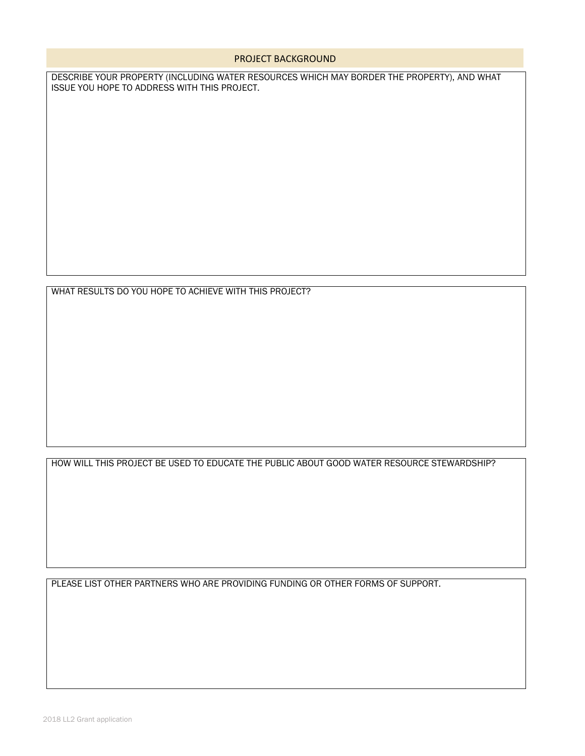#### PROJECT BACKGROUND

DESCRIBE YOUR PROPERTY (INCLUDING WATER RESOURCES WHICH MAY BORDER THE PROPERTY), AND WHAT ISSUE YOU HOPE TO ADDRESS WITH THIS PROJECT.

WHAT RESULTS DO YOU HOPE TO ACHIEVE WITH THIS PROJECT?

HOW WILL THIS PROJECT BE USED TO EDUCATE THE PUBLIC ABOUT GOOD WATER RESOURCE STEWARDSHIP?

PLEASE LIST OTHER PARTNERS WHO ARE PROVIDING FUNDING OR OTHER FORMS OF SUPPORT.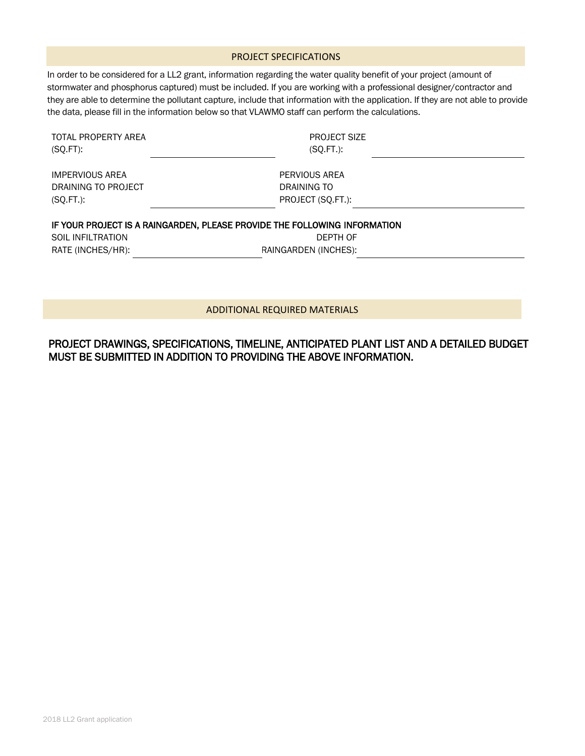#### PROJECT SPECIFICATIONS

In order to be considered for a LL2 grant, information regarding the water quality benefit of your project (amount of stormwater and phosphorus captured) must be included. If you are working with a professional designer/contractor and they are able to determine the pollutant capture, include that information with the application. If they are not able to provide the data, please fill in the information below so that VLAWMO staff can perform the calculations.

| TOTAL PROPERTY AREA<br>$(SQ.FT)$ : | <b>PROJECT SIZE</b><br>$(SO.FT.)$ :                                                   |  |
|------------------------------------|---------------------------------------------------------------------------------------|--|
| <b>IMPERVIOUS AREA</b>             | PERVIOUS AREA                                                                         |  |
| DRAINING TO PROJECT                | DRAINING TO                                                                           |  |
| $(SQ.FT.)$ :                       | PROJECT (SO.FT.):                                                                     |  |
|                                    |                                                                                       |  |
|                                    |                                                                                       |  |
| <b>SOIL INFILTRATION</b>           | IF YOUR PROJECT IS A RAINGARDEN, PLEASE PROVIDE THE FOLLOWING INFORMATION<br>DEPTH OF |  |

RATE (INCHES/HR):

DEPTH OF RAINGARDEN (INCHES):

#### ADDITIONAL REQUIRED MATERIALS

## PROJECT DRAWINGS, SPECIFICATIONS, TIMELINE, ANTICIPATED PLANT LIST AND A DETAILED BUDGET MUST BE SUBMITTED IN ADDITION TO PROVIDING THE ABOVE INFORMATION.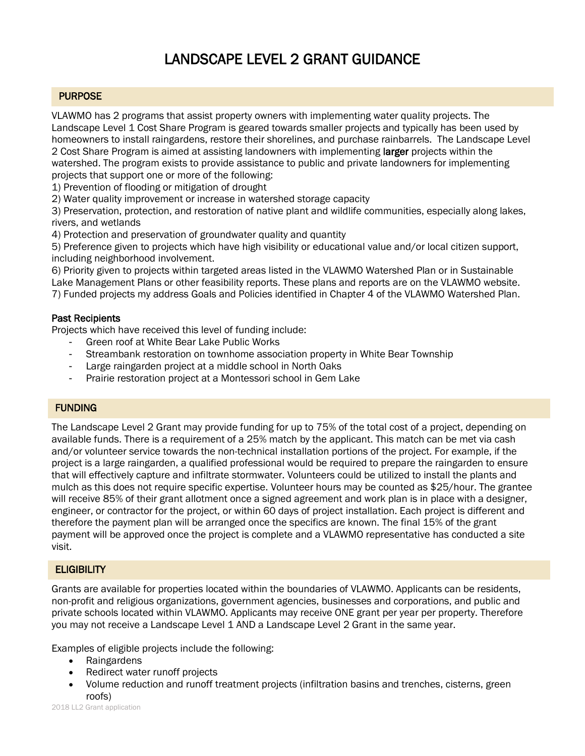# LANDSCAPE LEVEL 2 GRANT GUIDANCE

### **PURPOSE**

VLAWMO has 2 programs that assist property owners with implementing water quality projects. The Landscape Level 1 Cost Share Program is geared towards smaller projects and typically has been used by homeowners to install raingardens, restore their shorelines, and purchase rainbarrels. The Landscape Level 2 Cost Share Program is aimed at assisting landowners with implementing larger projects within the watershed. The program exists to provide assistance to public and private landowners for implementing projects that support one or more of the following:

1) Prevention of flooding or mitigation of drought

2) Water quality improvement or increase in watershed storage capacity

3) Preservation, protection, and restoration of native plant and wildlife communities, especially along lakes, rivers, and wetlands

4) Protection and preservation of groundwater quality and quantity

5) Preference given to projects which have high visibility or educational value and/or local citizen support, including neighborhood involvement.

6) Priority given to projects within targeted areas listed in the VLAWMO Watershed Plan or in Sustainable Lake Management Plans or other feasibility reports. These plans and reports are on the VLAWMO website. 7) Funded projects my address Goals and Policies identified in Chapter 4 of the VLAWMO Watershed Plan.

#### Past Recipients

Projects which have received this level of funding include:

- Green roof at White Bear Lake Public Works
- Streambank restoration on townhome association property in White Bear Township
- Large raingarden project at a middle school in North Oaks
- Prairie restoration project at a Montessori school in Gem Lake

#### **FUNDING**

The Landscape Level 2 Grant may provide funding for up to 75% of the total cost of a project, depending on available funds. There is a requirement of a 25% match by the applicant. This match can be met via cash and/or volunteer service towards the non-technical installation portions of the project. For example, if the project is a large raingarden, a qualified professional would be required to prepare the raingarden to ensure that will effectively capture and infiltrate stormwater. Volunteers could be utilized to install the plants and mulch as this does not require specific expertise. Volunteer hours may be counted as \$25/hour. The grantee will receive 85% of their grant allotment once a signed agreement and work plan is in place with a designer, engineer, or contractor for the project, or within 60 days of project installation. Each project is different and therefore the payment plan will be arranged once the specifics are known. The final 15% of the grant payment will be approved once the project is complete and a VLAWMO representative has conducted a site visit.

## **ELIGIBILITY**

Grants are available for properties located within the boundaries of VLAWMO. Applicants can be residents, non-profit and religious organizations, government agencies, businesses and corporations, and public and private schools located within VLAWMO. Applicants may receive ONE grant per year per property. Therefore you may not receive a Landscape Level 1 AND a Landscape Level 2 Grant in the same year.

Examples of eligible projects include the following:

- Raingardens
- Redirect water runoff projects
- Volume reduction and runoff treatment projects (infiltration basins and trenches, cisterns, green roofs)